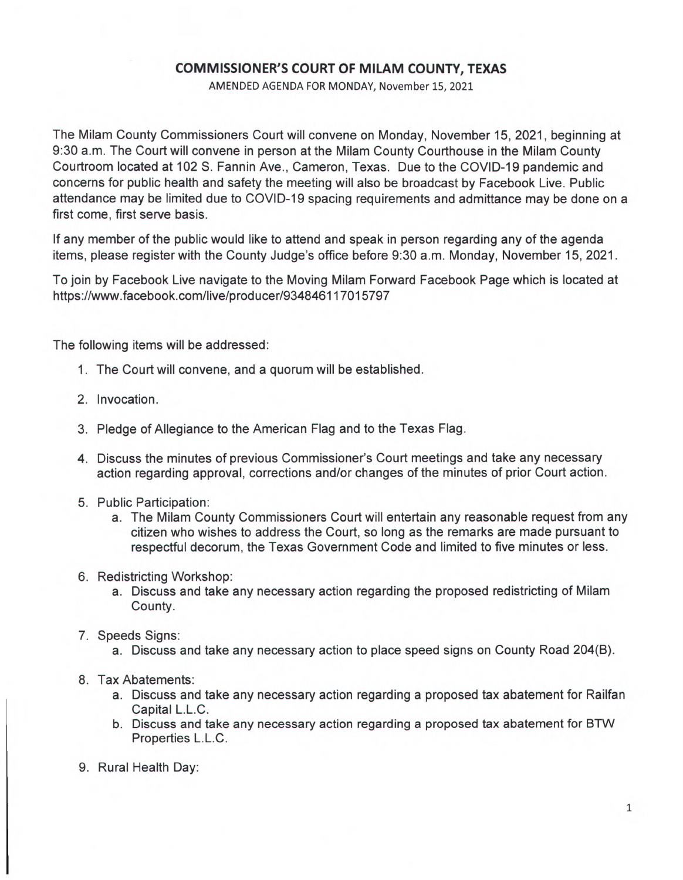## **COMMISSIONER'S COURT OF MILAM COUNTY, TEXAS**

AMENDED AGENDA FOR MONDAY, November 15, 2021

The Milam County Commissioners Court will convene on Monday, November 15, 2021, beginning at 9:30 a.m. The Court will convene in person at the Milam County Courthouse in the Milam County Courtroom located at 102 S. Fannin Ave., Cameron, Texas. Due to the COVID-19 pandemic and concerns for public health and safety the meeting will also be broadcast by Facebook Live. Public attendance may be limited due to COVID-19 spacing requirements and admittance may be done on a first come, first serve basis.

If any member of the public would like to attend and speak in person regarding any of the agenda items, please register with the County Judge's office before 9:30 a.m. Monday, November 15, 2021.

To join by Facebook Live navigate to the Moving Milam Forward Facebook Page which is located at https://www.facebook.com/live/producer/934846117015797

The following items will be addressed:

- 1. The Court will convene, and a quorum will be established.
- 2. Invocation.
- 3. Pledge of Allegiance to the American Flag and to the Texas Flag.
- 4. Discuss the minutes of previous Commissioner's Court meetings and take any necessary action regarding approval, corrections and/or changes of the minutes of prior Court action.
- 5. Public Participation:
	- a. The Milam County Commissioners Court will entertain any reasonable request from any citizen who wishes to address the Court, so long as the remarks are made pursuant to respectful decorum, the Texas Government Code and limited to five minutes or less.
- 6. Redistricting Workshop:
	- a. Discuss and take any necessary action regarding the proposed redistricting of Milam County.
- 7. Speeds Signs:
	- a. Discuss and take any necessary action to place speed signs on County Road 204(B).
- 8. Tax Abatements:
	- a. Discuss and take any necessary action regarding a proposed tax abatement for Railfan Capital L.L.C.
	- b. Discuss and take any necessary action regarding a proposed tax abatement for BTW Properties L.L.C.
- 9. Rural Health Day: